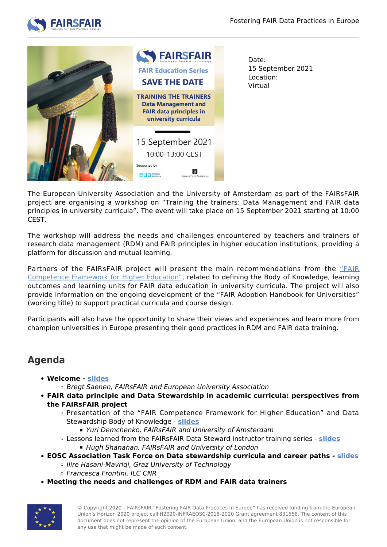



15 September 2021

The European University Association and the University of Amsterdam as part of the FAIRsFAIR project are organising a workshop on "Training the trainers: Data Management and FAIR data principles in university curricula". The event will take place on 15 September 2021 starting at 10:00 CEST.

The workshop will address the needs and challenges encountered by teachers and trainers of research data management (RDM) and FAIR principles in higher education institutions, providing a platform for discussion and mutual learning.

Partners of the FAIRsFAIR project will present the main recommendations from the ["FAIR](https://zenodo.org/record/4562089#.YOLI3ugzY2w) [Competence Framework for Higher Education"](https://zenodo.org/record/4562089#.YOLI3ugzY2w), related to defining the Body of Knowledge, learning outcomes and learning units for FAIR data education in university curricula. The project will also provide information on the ongoing development of the "FAIR Adoption Handbook for Universities" (working title) to support practical curricula and course design.

Participants will also have the opportunity to share their views and experiences and learn more from champion universities in Europe presenting their good practices in RDM and FAIR data training.

## **Agenda**

- **Welcome [slides](https://www.fairsfair.eu/sites/default/files/20210915_Training%20the%20trainers%20workshop_FsF_Saenen.pdf)**
	- o Bregt Saenen, FAIRsFAIR and European University Association
- **FAIR data principle and Data Stewardship in academic curricula: perspectives from the FAIRsFAIR project**
	- Presentation of the "FAIR Competence Framework for Higher Education" and Data Stewardship Body of Knowledge - **[slides](https://www.fairsfair.eu/sites/default/files/20210915_FAIR4HE%20Competence%20Framework_BoK_Demchenko.pdf)**
		- Yuri Demchenko, FAIRsFAIR and University of Amsterdam
	- Lessons learned from the FAIRsFAIR Data Steward instructor training series **[slides](https://www.fairsfair.eu/sites/default/files/20210915_Training%20the%20Trainers%20workshop_Shanahan.pdf)** ■ Hugh Shanahan, FAIRsFAIR and University of London
- **EOSC Association Task Force on Data stewardship curricula and career paths [slides](https://www.fairsfair.eu/sites/default/files/20210915_EOSC-A_TaskForcePresentation_Training%20the%20trainers.pdf)**
	- o Ilire Hasani-Mavriqi, Graz University of Technology
	- Francesca Frontini, ILC CNR
- **Meeting the needs and challenges of RDM and FAIR data trainers**